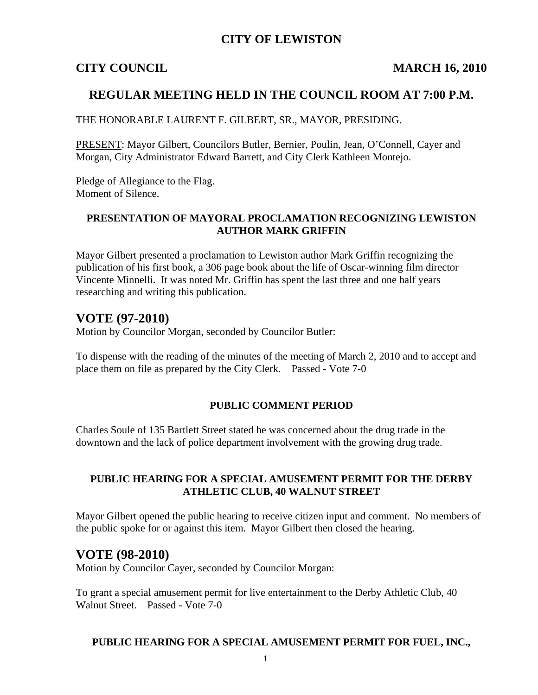## **CITY OF LEWISTON**

### **CITY COUNCIL MARCH 16, 2010**

## **REGULAR MEETING HELD IN THE COUNCIL ROOM AT 7:00 P.M.**

THE HONORABLE LAURENT F. GILBERT, SR., MAYOR, PRESIDING.

PRESENT: Mayor Gilbert, Councilors Butler, Bernier, Poulin, Jean, O'Connell, Cayer and Morgan, City Administrator Edward Barrett, and City Clerk Kathleen Montejo.

Pledge of Allegiance to the Flag. Moment of Silence.

### **PRESENTATION OF MAYORAL PROCLAMATION RECOGNIZING LEWISTON AUTHOR MARK GRIFFIN**

Mayor Gilbert presented a proclamation to Lewiston author Mark Griffin recognizing the publication of his first book, a 306 page book about the life of Oscar-winning film director Vincente Minnelli. It was noted Mr. Griffin has spent the last three and one half years researching and writing this publication.

# **VOTE (97-2010)**

Motion by Councilor Morgan, seconded by Councilor Butler:

To dispense with the reading of the minutes of the meeting of March 2, 2010 and to accept and place them on file as prepared by the City Clerk. Passed - Vote 7-0

#### **PUBLIC COMMENT PERIOD**

Charles Soule of 135 Bartlett Street stated he was concerned about the drug trade in the downtown and the lack of police department involvement with the growing drug trade.

#### **PUBLIC HEARING FOR A SPECIAL AMUSEMENT PERMIT FOR THE DERBY ATHLETIC CLUB, 40 WALNUT STREET**

Mayor Gilbert opened the public hearing to receive citizen input and comment. No members of the public spoke for or against this item. Mayor Gilbert then closed the hearing.

## **VOTE (98-2010)**

Motion by Councilor Cayer, seconded by Councilor Morgan:

To grant a special amusement permit for live entertainment to the Derby Athletic Club, 40 Walnut Street. Passed - Vote 7-0

#### **PUBLIC HEARING FOR A SPECIAL AMUSEMENT PERMIT FOR FUEL, INC.,**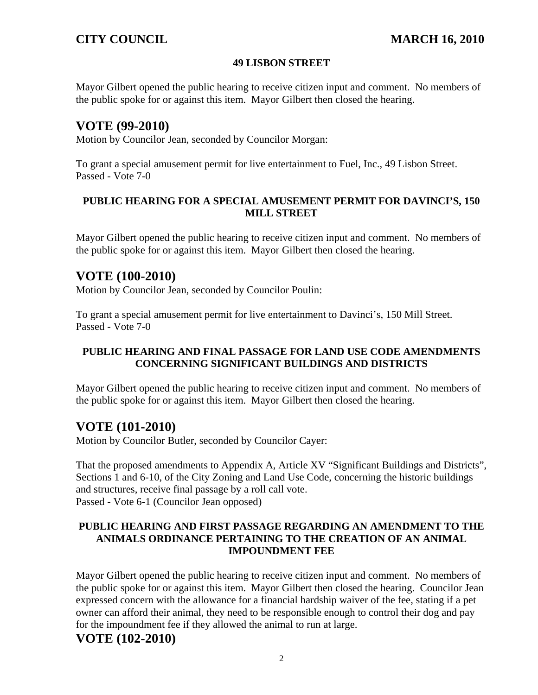#### **49 LISBON STREET**

Mayor Gilbert opened the public hearing to receive citizen input and comment. No members of the public spoke for or against this item. Mayor Gilbert then closed the hearing.

## **VOTE (99-2010)**

Motion by Councilor Jean, seconded by Councilor Morgan:

To grant a special amusement permit for live entertainment to Fuel, Inc., 49 Lisbon Street. Passed - Vote 7-0

### **PUBLIC HEARING FOR A SPECIAL AMUSEMENT PERMIT FOR DAVINCI'S, 150 MILL STREET**

Mayor Gilbert opened the public hearing to receive citizen input and comment. No members of the public spoke for or against this item. Mayor Gilbert then closed the hearing.

## **VOTE (100-2010)**

Motion by Councilor Jean, seconded by Councilor Poulin:

To grant a special amusement permit for live entertainment to Davinci's, 150 Mill Street. Passed - Vote 7-0

## **PUBLIC HEARING AND FINAL PASSAGE FOR LAND USE CODE AMENDMENTS CONCERNING SIGNIFICANT BUILDINGS AND DISTRICTS**

Mayor Gilbert opened the public hearing to receive citizen input and comment. No members of the public spoke for or against this item. Mayor Gilbert then closed the hearing.

# **VOTE (101-2010)**

Motion by Councilor Butler, seconded by Councilor Cayer:

That the proposed amendments to Appendix A, Article XV "Significant Buildings and Districts", Sections 1 and 6-10, of the City Zoning and Land Use Code, concerning the historic buildings and structures, receive final passage by a roll call vote. Passed - Vote 6-1 (Councilor Jean opposed)

#### **PUBLIC HEARING AND FIRST PASSAGE REGARDING AN AMENDMENT TO THE ANIMALS ORDINANCE PERTAINING TO THE CREATION OF AN ANIMAL IMPOUNDMENT FEE**

Mayor Gilbert opened the public hearing to receive citizen input and comment. No members of the public spoke for or against this item. Mayor Gilbert then closed the hearing. Councilor Jean expressed concern with the allowance for a financial hardship waiver of the fee, stating if a pet owner can afford their animal, they need to be responsible enough to control their dog and pay for the impoundment fee if they allowed the animal to run at large.

# **VOTE (102-2010)**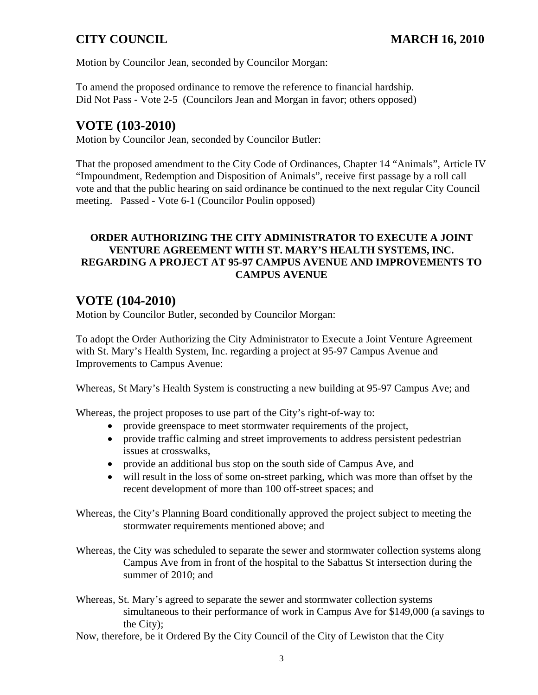Motion by Councilor Jean, seconded by Councilor Morgan:

To amend the proposed ordinance to remove the reference to financial hardship. Did Not Pass - Vote 2-5 (Councilors Jean and Morgan in favor; others opposed)

# **VOTE (103-2010)**

Motion by Councilor Jean, seconded by Councilor Butler:

That the proposed amendment to the City Code of Ordinances, Chapter 14 "Animals", Article IV "Impoundment, Redemption and Disposition of Animals", receive first passage by a roll call vote and that the public hearing on said ordinance be continued to the next regular City Council meeting. Passed - Vote 6-1 (Councilor Poulin opposed)

## **ORDER AUTHORIZING THE CITY ADMINISTRATOR TO EXECUTE A JOINT VENTURE AGREEMENT WITH ST. MARY'S HEALTH SYSTEMS, INC. REGARDING A PROJECT AT 95-97 CAMPUS AVENUE AND IMPROVEMENTS TO CAMPUS AVENUE**

# **VOTE (104-2010)**

Motion by Councilor Butler, seconded by Councilor Morgan:

To adopt the Order Authorizing the City Administrator to Execute a Joint Venture Agreement with St. Mary's Health System, Inc. regarding a project at 95-97 Campus Avenue and Improvements to Campus Avenue:

Whereas, St Mary's Health System is constructing a new building at 95-97 Campus Ave; and

Whereas, the project proposes to use part of the City's right-of-way to:

- provide greenspace to meet stormwater requirements of the project,
- provide traffic calming and street improvements to address persistent pedestrian issues at crosswalks,
- provide an additional bus stop on the south side of Campus Ave, and
- will result in the loss of some on-street parking, which was more than offset by the recent development of more than 100 off-street spaces; and

Whereas, the City's Planning Board conditionally approved the project subject to meeting the stormwater requirements mentioned above; and

- Whereas, the City was scheduled to separate the sewer and stormwater collection systems along Campus Ave from in front of the hospital to the Sabattus St intersection during the summer of 2010; and
- Whereas, St. Mary's agreed to separate the sewer and stormwater collection systems simultaneous to their performance of work in Campus Ave for \$149,000 (a savings to the City);
- Now, therefore, be it Ordered By the City Council of the City of Lewiston that the City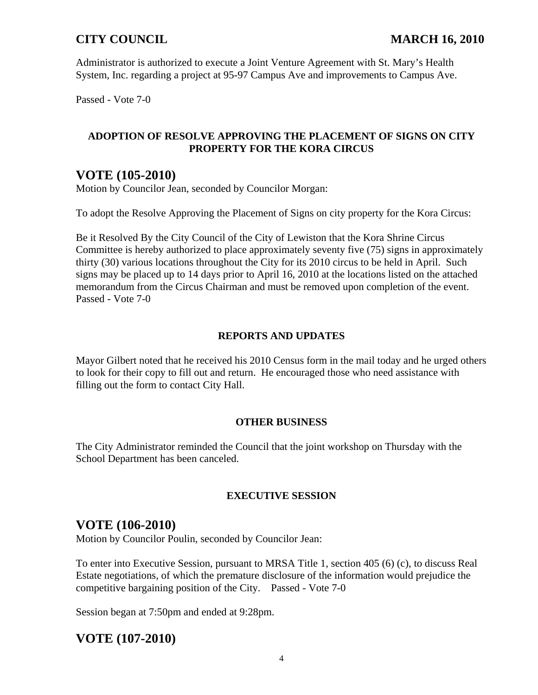Administrator is authorized to execute a Joint Venture Agreement with St. Mary's Health System, Inc. regarding a project at 95-97 Campus Ave and improvements to Campus Ave.

Passed - Vote 7-0

#### **ADOPTION OF RESOLVE APPROVING THE PLACEMENT OF SIGNS ON CITY PROPERTY FOR THE KORA CIRCUS**

# **VOTE (105-2010)**

Motion by Councilor Jean, seconded by Councilor Morgan:

To adopt the Resolve Approving the Placement of Signs on city property for the Kora Circus:

Be it Resolved By the City Council of the City of Lewiston that the Kora Shrine Circus Committee is hereby authorized to place approximately seventy five (75) signs in approximately thirty (30) various locations throughout the City for its 2010 circus to be held in April. Such signs may be placed up to 14 days prior to April 16, 2010 at the locations listed on the attached memorandum from the Circus Chairman and must be removed upon completion of the event. Passed - Vote 7-0

## **REPORTS AND UPDATES**

Mayor Gilbert noted that he received his 2010 Census form in the mail today and he urged others to look for their copy to fill out and return. He encouraged those who need assistance with filling out the form to contact City Hall.

### **OTHER BUSINESS**

The City Administrator reminded the Council that the joint workshop on Thursday with the School Department has been canceled.

### **EXECUTIVE SESSION**

# **VOTE (106-2010)**

Motion by Councilor Poulin, seconded by Councilor Jean:

To enter into Executive Session, pursuant to MRSA Title 1, section 405 (6) (c), to discuss Real Estate negotiations, of which the premature disclosure of the information would prejudice the competitive bargaining position of the City. Passed - Vote 7-0

Session began at 7:50pm and ended at 9:28pm.

# **VOTE (107-2010)**